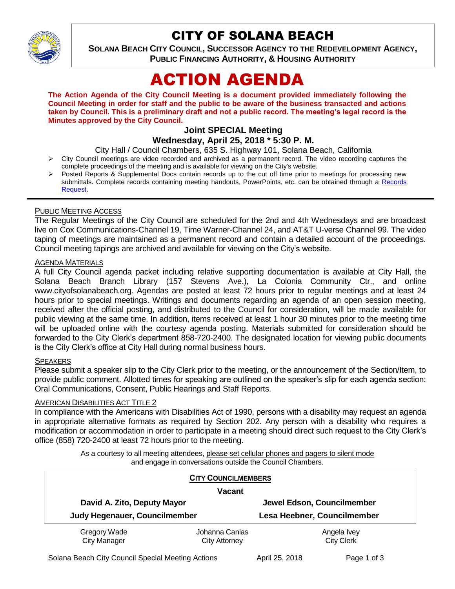

## CITY OF SOLANA BEACH

**SOLANA BEACH CITY COUNCIL, SUCCESSOR AGENCY TO THE REDEVELOPMENT AGENCY, PUBLIC FINANCING AUTHORITY, & HOUSING AUTHORITY** 

# ACTION AGENDA

**The Action Agenda of the City Council Meeting is a document provided immediately following the Council Meeting in order for staff and the public to be aware of the business transacted and actions taken by Council. This is a preliminary draft and not a public record. The meeting's legal record is the Minutes approved by the City Council.**

### **Joint SPECIAL Meeting**

**Wednesday, April 25, 2018 \* 5:30 P. M.**

City Hall / Council Chambers, 635 S. Highway 101, Solana Beach, California

- $\triangleright$  City Council meetings are video recorded and archived as a permanent record. The video recording captures the complete proceedings of the meeting and is available for viewing on the City's website.
- Posted Reports & Supplemental Docs contain records up to the cut off time prior to meetings for processing new submittals. Complete records containing meeting handouts, PowerPoints, etc. can be obtained through a Records [Request.](http://www.ci.solana-beach.ca.us/index.asp?SEC=F5D45D10-70CE-4291-A27C-7BD633FC6742&Type=B_BASIC)

#### PUBLIC MEETING ACCESS

The Regular Meetings of the City Council are scheduled for the 2nd and 4th Wednesdays and are broadcast live on Cox Communications-Channel 19, Time Warner-Channel 24, and AT&T U-verse Channel 99. The video taping of meetings are maintained as a permanent record and contain a detailed account of the proceedings. Council meeting tapings are archived and available for viewing on the City's website.

#### **AGENDA MATERIALS**

A full City Council agenda packet including relative supporting documentation is available at City Hall, the Solana Beach Branch Library (157 Stevens Ave.), La Colonia Community Ctr., and online www.cityofsolanabeach.org. Agendas are posted at least 72 hours prior to regular meetings and at least 24 hours prior to special meetings. Writings and documents regarding an agenda of an open session meeting, received after the official posting, and distributed to the Council for consideration, will be made available for public viewing at the same time. In addition, items received at least 1 hour 30 minutes prior to the meeting time will be uploaded online with the courtesy agenda posting. Materials submitted for consideration should be forwarded to the City Clerk's department 858-720-2400. The designated location for viewing public documents is the City Clerk's office at City Hall during normal business hours.

#### **SPEAKERS**

Please submit a speaker slip to the City Clerk prior to the meeting, or the announcement of the Section/Item, to provide public comment. Allotted times for speaking are outlined on the speaker's slip for each agenda section: Oral Communications, Consent, Public Hearings and Staff Reports.

#### AMERICAN DISABILITIES ACT TITLE 2

In compliance with the Americans with Disabilities Act of 1990, persons with a disability may request an agenda in appropriate alternative formats as required by Section 202. Any person with a disability who requires a modification or accommodation in order to participate in a meeting should direct such request to the City Clerk's office (858) 720-2400 at least 72 hours prior to the meeting.

> As a courtesy to all meeting attendees, please set cellular phones and pagers to silent mode and engage in conversations outside the Council Chambers.

|                                                              | <b>CITY COUNCILMEMBERS</b> |                             |  |
|--------------------------------------------------------------|----------------------------|-----------------------------|--|
| <b>Vacant</b>                                                |                            |                             |  |
| David A. Zito, Deputy Mayor<br>Judy Hegenauer, Councilmember |                            | Jewel Edson, Councilmember  |  |
|                                                              |                            | Lesa Heebner, Councilmember |  |
| Gregory Wade                                                 | Johanna Canlas             | Angela Ivey                 |  |
| <b>City Manager</b>                                          | City Attorney              | <b>City Clerk</b>           |  |

Solana Beach City Council Special Meeting Actions **April 25, 2018** Page 1 of 3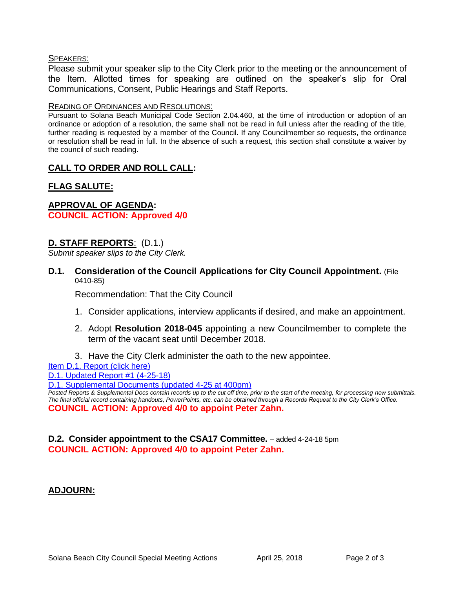#### SPEAKERS:

Please submit your speaker slip to the City Clerk prior to the meeting or the announcement of the Item. Allotted times for speaking are outlined on the speaker's slip for Oral Communications, Consent, Public Hearings and Staff Reports.

#### READING OF ORDINANCES AND RESOLUTIONS:

Pursuant to Solana Beach Municipal Code Section 2.04.460, at the time of introduction or adoption of an ordinance or adoption of a resolution, the same shall not be read in full unless after the reading of the title, further reading is requested by a member of the Council. If any Councilmember so requests, the ordinance or resolution shall be read in full. In the absence of such a request, this section shall constitute a waiver by the council of such reading.

#### **CALL TO ORDER AND ROLL CALL:**

#### **FLAG SALUTE:**

#### **APPROVAL OF AGENDA: COUNCIL ACTION: Approved 4/0**

#### **D. STAFF REPORTS**: (D.1.)

*Submit speaker slips to the City Clerk.*

**D.1. Consideration of the Council Applications for City Council Appointment.** (File 0410-85)

Recommendation: That the City Council

- 1. Consider applications, interview applicants if desired, and make an appointment.
- 2. Adopt **Resolution 2018-045** appointing a new Councilmember to complete the term of the vacant seat until December 2018.
- 3. Have the City Clerk administer the oath to the new appointee.
- Item D.1. Report (click here)

[D.1. Updated Report #1 \(4-25-18\)](https://solanabeach.govoffice3.com/vertical/Sites/%7B840804C2-F869-4904-9AE3-720581350CE7%7D/uploads/D.1._Staff_Report_Update_1.pdf)

[D.1. Supplemental Documents \(updated 4-25](https://solanabeach.govoffice3.com/vertical/Sites/%7B840804C2-F869-4904-9AE3-720581350CE7%7D/uploads/D.1._Supplemental_Docs_(updated_4-25_at_4pm).pdf) at 400pm)

*Posted Reports & Supplemental Docs contain records up to the cut off time, prior to the start of the meeting, for processing new submittals. The final official record containing handouts, PowerPoints, etc. can be obtained through a Records Request to the City Clerk's Office.* **COUNCIL ACTION: Approved 4/0 to appoint Peter Zahn.** 

#### **D.2. Consider appointment to the CSA17 Committee.** – added 4-24-18 5pm **COUNCIL ACTION: Approved 4/0 to appoint Peter Zahn.**

#### **ADJOURN:**